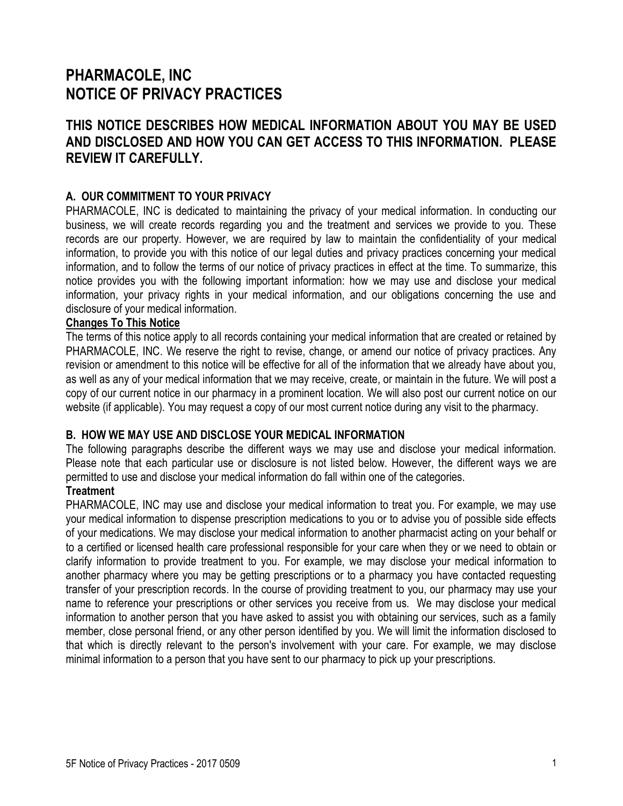# **PHARMACOLE, INC NOTICE OF PRIVACY PRACTICES**

## **THIS NOTICE DESCRIBES HOW MEDICAL INFORMATION ABOUT YOU MAY BE USED AND DISCLOSED AND HOW YOU CAN GET ACCESS TO THIS INFORMATION. PLEASE REVIEW IT CAREFULLY.**

## **A. OUR COMMITMENT TO YOUR PRIVACY**

PHARMACOLE, INC is dedicated to maintaining the privacy of your medical information. In conducting our business, we will create records regarding you and the treatment and services we provide to you. These records are our property. However, we are required by law to maintain the confidentiality of your medical information, to provide you with this notice of our legal duties and privacy practices concerning your medical information, and to follow the terms of our notice of privacy practices in effect at the time. To summarize, this notice provides you with the following important information: how we may use and disclose your medical information, your privacy rights in your medical information, and our obligations concerning the use and disclosure of your medical information.

#### **Changes To This Notice**

The terms of this notice apply to all records containing your medical information that are created or retained by PHARMACOLE, INC. We reserve the right to revise, change, or amend our notice of privacy practices. Any revision or amendment to this notice will be effective for all of the information that we already have about you, as well as any of your medical information that we may receive, create, or maintain in the future. We will post a copy of our current notice in our pharmacy in a prominent location. We will also post our current notice on our website (if applicable). You may request a copy of our most current notice during any visit to the pharmacy.

## **B. HOW WE MAY USE AND DISCLOSE YOUR MEDICAL INFORMATION**

The following paragraphs describe the different ways we may use and disclose your medical information. Please note that each particular use or disclosure is not listed below. However, the different ways we are permitted to use and disclose your medical information do fall within one of the categories.

## **Treatment**

PHARMACOLE, INC may use and disclose your medical information to treat you. For example, we may use your medical information to dispense prescription medications to you or to advise you of possible side effects of your medications. We may disclose your medical information to another pharmacist acting on your behalf or to a certified or licensed health care professional responsible for your care when they or we need to obtain or clarify information to provide treatment to you. For example, we may disclose your medical information to another pharmacy where you may be getting prescriptions or to a pharmacy you have contacted requesting transfer of your prescription records. In the course of providing treatment to you, our pharmacy may use your name to reference your prescriptions or other services you receive from us. We may disclose your medical information to another person that you have asked to assist you with obtaining our services, such as a family member, close personal friend, or any other person identified by you. We will limit the information disclosed to that which is directly relevant to the person's involvement with your care. For example, we may disclose minimal information to a person that you have sent to our pharmacy to pick up your prescriptions.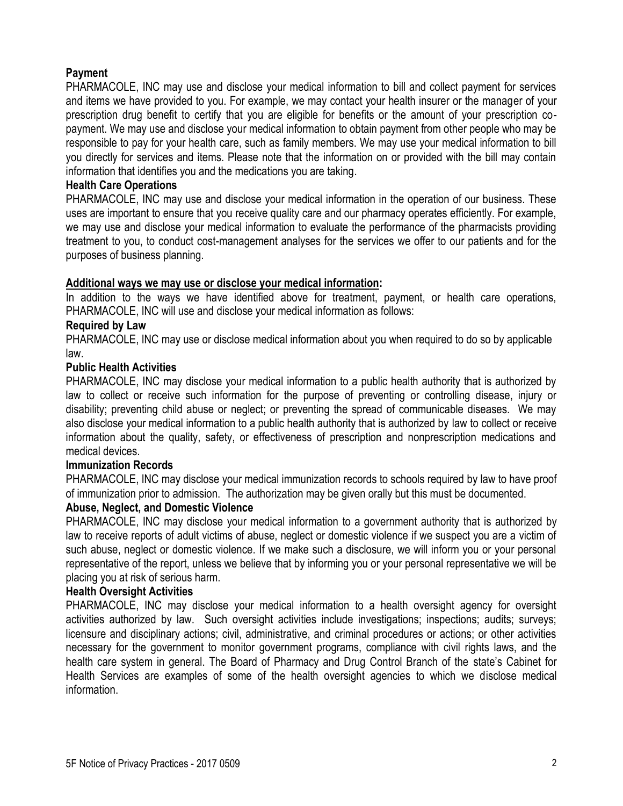## **Payment**

PHARMACOLE, INC may use and disclose your medical information to bill and collect payment for services and items we have provided to you. For example, we may contact your health insurer or the manager of your prescription drug benefit to certify that you are eligible for benefits or the amount of your prescription copayment. We may use and disclose your medical information to obtain payment from other people who may be responsible to pay for your health care, such as family members. We may use your medical information to bill you directly for services and items. Please note that the information on or provided with the bill may contain information that identifies you and the medications you are taking.

#### **Health Care Operations**

PHARMACOLE, INC may use and disclose your medical information in the operation of our business. These uses are important to ensure that you receive quality care and our pharmacy operates efficiently. For example, we may use and disclose your medical information to evaluate the performance of the pharmacists providing treatment to you, to conduct cost-management analyses for the services we offer to our patients and for the purposes of business planning.

#### **Additional ways we may use or disclose your medical information:**

In addition to the ways we have identified above for treatment, payment, or health care operations, PHARMACOLE, INC will use and disclose your medical information as follows:

#### **Required by Law**

PHARMACOLE, INC may use or disclose medical information about you when required to do so by applicable law.

#### **Public Health Activities**

PHARMACOLE, INC may disclose your medical information to a public health authority that is authorized by law to collect or receive such information for the purpose of preventing or controlling disease, injury or disability; preventing child abuse or neglect; or preventing the spread of communicable diseases. We may also disclose your medical information to a public health authority that is authorized by law to collect or receive information about the quality, safety, or effectiveness of prescription and nonprescription medications and medical devices.

#### **Immunization Records**

PHARMACOLE, INC may disclose your medical immunization records to schools required by law to have proof of immunization prior to admission. The authorization may be given orally but this must be documented.

#### **Abuse, Neglect, and Domestic Violence**

PHARMACOLE, INC may disclose your medical information to a government authority that is authorized by law to receive reports of adult victims of abuse, neglect or domestic violence if we suspect you are a victim of such abuse, neglect or domestic violence. If we make such a disclosure, we will inform you or your personal representative of the report, unless we believe that by informing you or your personal representative we will be placing you at risk of serious harm.

#### **Health Oversight Activities**

PHARMACOLE, INC may disclose your medical information to a health oversight agency for oversight activities authorized by law. Such oversight activities include investigations; inspections; audits; surveys; licensure and disciplinary actions; civil, administrative, and criminal procedures or actions; or other activities necessary for the government to monitor government programs, compliance with civil rights laws, and the health care system in general. The Board of Pharmacy and Drug Control Branch of the state's Cabinet for Health Services are examples of some of the health oversight agencies to which we disclose medical information.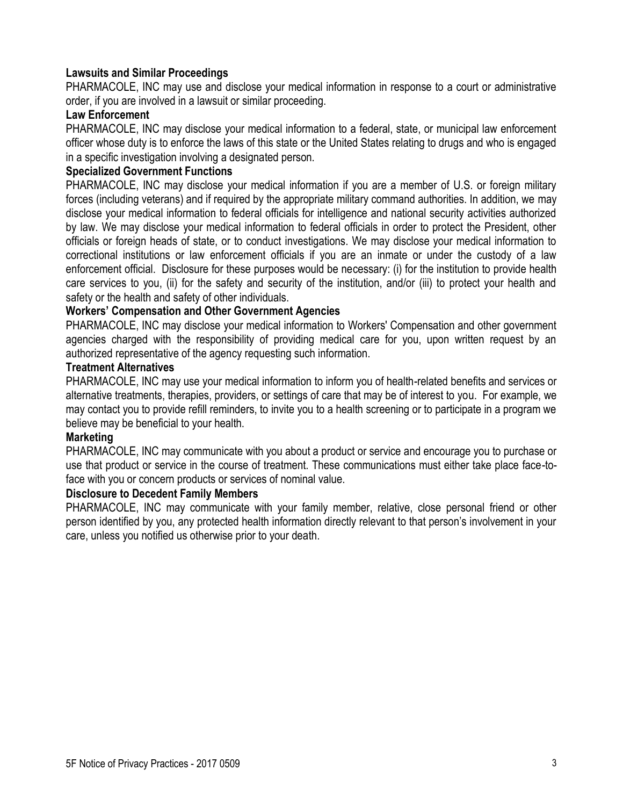## **Lawsuits and Similar Proceedings**

PHARMACOLE, INC may use and disclose your medical information in response to a court or administrative order, if you are involved in a lawsuit or similar proceeding.

## **Law Enforcement**

PHARMACOLE, INC may disclose your medical information to a federal, state, or municipal law enforcement officer whose duty is to enforce the laws of this state or the United States relating to drugs and who is engaged in a specific investigation involving a designated person.

## **Specialized Government Functions**

PHARMACOLE, INC may disclose your medical information if you are a member of U.S. or foreign military forces (including veterans) and if required by the appropriate military command authorities. In addition, we may disclose your medical information to federal officials for intelligence and national security activities authorized by law. We may disclose your medical information to federal officials in order to protect the President, other officials or foreign heads of state, or to conduct investigations. We may disclose your medical information to correctional institutions or law enforcement officials if you are an inmate or under the custody of a law enforcement official. Disclosure for these purposes would be necessary: (i) for the institution to provide health care services to you, (ii) for the safety and security of the institution, and/or (iii) to protect your health and safety or the health and safety of other individuals.

## **Workers' Compensation and Other Government Agencies**

PHARMACOLE, INC may disclose your medical information to Workers' Compensation and other government agencies charged with the responsibility of providing medical care for you, upon written request by an authorized representative of the agency requesting such information.

#### **Treatment Alternatives**

PHARMACOLE, INC may use your medical information to inform you of health-related benefits and services or alternative treatments, therapies, providers, or settings of care that may be of interest to you. For example, we may contact you to provide refill reminders, to invite you to a health screening or to participate in a program we believe may be beneficial to your health.

### **Marketing**

PHARMACOLE, INC may communicate with you about a product or service and encourage you to purchase or use that product or service in the course of treatment. These communications must either take place face-toface with you or concern products or services of nominal value.

#### **Disclosure to Decedent Family Members**

PHARMACOLE, INC may communicate with your family member, relative, close personal friend or other person identified by you, any protected health information directly relevant to that person's involvement in your care, unless you notified us otherwise prior to your death.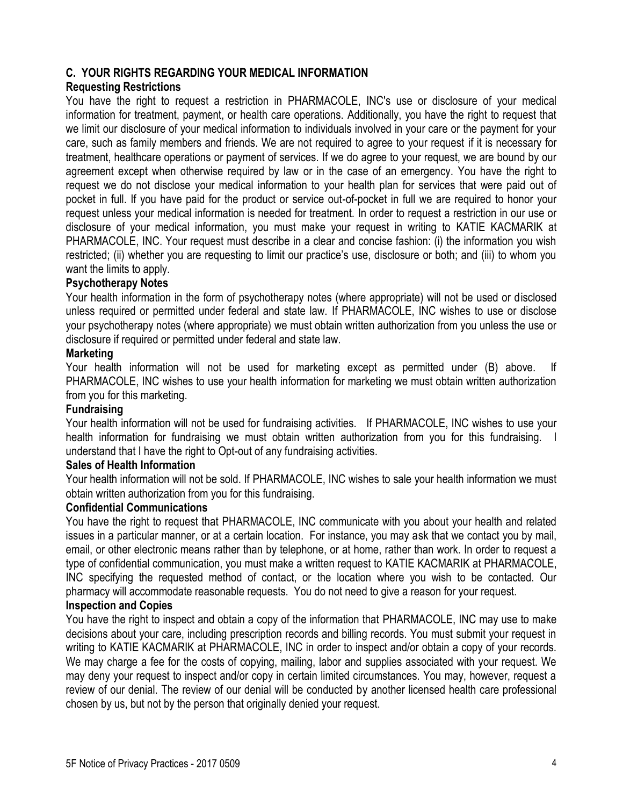## **C. YOUR RIGHTS REGARDING YOUR MEDICAL INFORMATION**

## **Requesting Restrictions**

You have the right to request a restriction in PHARMACOLE, INC's use or disclosure of your medical information for treatment, payment, or health care operations. Additionally, you have the right to request that we limit our disclosure of your medical information to individuals involved in your care or the payment for your care, such as family members and friends. We are not required to agree to your request if it is necessary for treatment, healthcare operations or payment of services. If we do agree to your request, we are bound by our agreement except when otherwise required by law or in the case of an emergency. You have the right to request we do not disclose your medical information to your health plan for services that were paid out of pocket in full. If you have paid for the product or service out-of-pocket in full we are required to honor your request unless your medical information is needed for treatment. In order to request a restriction in our use or disclosure of your medical information, you must make your request in writing to KATIE KACMARIK at PHARMACOLE, INC. Your request must describe in a clear and concise fashion: (i) the information you wish restricted; (ii) whether you are requesting to limit our practice's use, disclosure or both; and (iii) to whom you want the limits to apply.

#### **Psychotherapy Notes**

Your health information in the form of psychotherapy notes (where appropriate) will not be used or disclosed unless required or permitted under federal and state law. If PHARMACOLE, INC wishes to use or disclose your psychotherapy notes (where appropriate) we must obtain written authorization from you unless the use or disclosure if required or permitted under federal and state law.

#### **Marketing**

Your health information will not be used for marketing except as permitted under (B) above. If PHARMACOLE, INC wishes to use your health information for marketing we must obtain written authorization from you for this marketing.

## **Fundraising**

Your health information will not be used for fundraising activities. If PHARMACOLE, INC wishes to use your health information for fundraising we must obtain written authorization from you for this fundraising. I understand that I have the right to Opt-out of any fundraising activities.

#### **Sales of Health Information**

Your health information will not be sold. If PHARMACOLE, INC wishes to sale your health information we must obtain written authorization from you for this fundraising.

#### **Confidential Communications**

You have the right to request that PHARMACOLE, INC communicate with you about your health and related issues in a particular manner, or at a certain location. For instance, you may ask that we contact you by mail, email, or other electronic means rather than by telephone, or at home, rather than work. In order to request a type of confidential communication, you must make a written request to KATIE KACMARIK at PHARMACOLE, INC specifying the requested method of contact, or the location where you wish to be contacted. Our pharmacy will accommodate reasonable requests. You do not need to give a reason for your request.

## **Inspection and Copies**

You have the right to inspect and obtain a copy of the information that PHARMACOLE, INC may use to make decisions about your care, including prescription records and billing records. You must submit your request in writing to KATIE KACMARIK at PHARMACOLE, INC in order to inspect and/or obtain a copy of your records. We may charge a fee for the costs of copying, mailing, labor and supplies associated with your request. We may deny your request to inspect and/or copy in certain limited circumstances. You may, however, request a review of our denial. The review of our denial will be conducted by another licensed health care professional chosen by us, but not by the person that originally denied your request.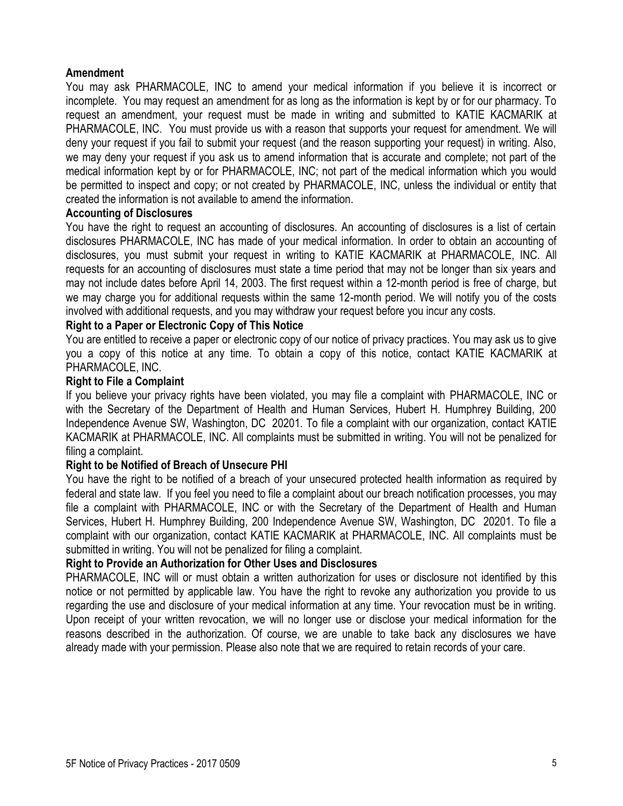#### **Amendment**

You may ask PHARMACOLE, INC to amend your medical information if you believe it is incorrect or incomplete. You may request an amendment for as long as the information is kept by or for our pharmacy. To request an amendment, your request must be made in writing and submitted to KATIE KACMARIK at PHARMACOLE, INC. You must provide us with a reason that supports your request for amendment. We will deny your request if you fail to submit your request (and the reason supporting your request) in writing. Also, we may deny your request if you ask us to amend information that is accurate and complete; not part of the medical information kept by or for PHARMACOLE, INC; not part of the medical information which you would be permitted to inspect and copy; or not created by PHARMACOLE, INC, unless the individual or entity that created the information is not available to amend the information.

#### **Accounting of Disclosures**

You have the right to request an accounting of disclosures. An accounting of disclosures is a list of certain disclosures PHARMACOLE, INC has made of your medical information. In order to obtain an accounting of disclosures, you must submit your request in writing to KATIE KACMARIK at PHARMACOLE, INC. All requests for an accounting of disclosures must state a time period that may not be longer than six years and may not include dates before April 14, 2003. The first request within a 12-month period is free of charge, but we may charge you for additional requests within the same 12-month period. We will notify you of the costs involved with additional requests, and you may withdraw your request before you incur any costs.

## **Right to a Paper or Electronic Copy of This Notice**

You are entitled to receive a paper or electronic copy of our notice of privacy practices. You may ask us to give you a copy of this notice at any time. To obtain a copy of this notice, contact KATIE KACMARIK at PHARMACOLE, INC.

#### **Right to File a Complaint**

If you believe your privacy rights have been violated, you may file a complaint with PHARMACOLE, INC or with the Secretary of the Department of Health and Human Services, Hubert H. Humphrey Building, 200 Independence Avenue SW, Washington, DC 20201. To file a complaint with our organization, contact KATIE KACMARIK at PHARMACOLE, INC. All complaints must be submitted in writing. You will not be penalized for filing a complaint.

#### **Right to be Notified of Breach of Unsecure PHI**

You have the right to be notified of a breach of your unsecured protected health information as required by federal and state law. If you feel you need to file a complaint about our breach notification processes, you may file a complaint with PHARMACOLE, INC or with the Secretary of the Department of Health and Human Services, Hubert H. Humphrey Building, 200 Independence Avenue SW, Washington, DC 20201. To file a complaint with our organization, contact KATIE KACMARIK at PHARMACOLE, INC. All complaints must be submitted in writing. You will not be penalized for filing a complaint.

#### **Right to Provide an Authorization for Other Uses and Disclosures**

PHARMACOLE, INC will or must obtain a written authorization for uses or disclosure not identified by this notice or not permitted by applicable law. You have the right to revoke any authorization you provide to us regarding the use and disclosure of your medical information at any time. Your revocation must be in writing. Upon receipt of your written revocation, we will no longer use or disclose your medical information for the reasons described in the authorization. Of course, we are unable to take back any disclosures we have already made with your permission. Please also note that we are required to retain records of your care.